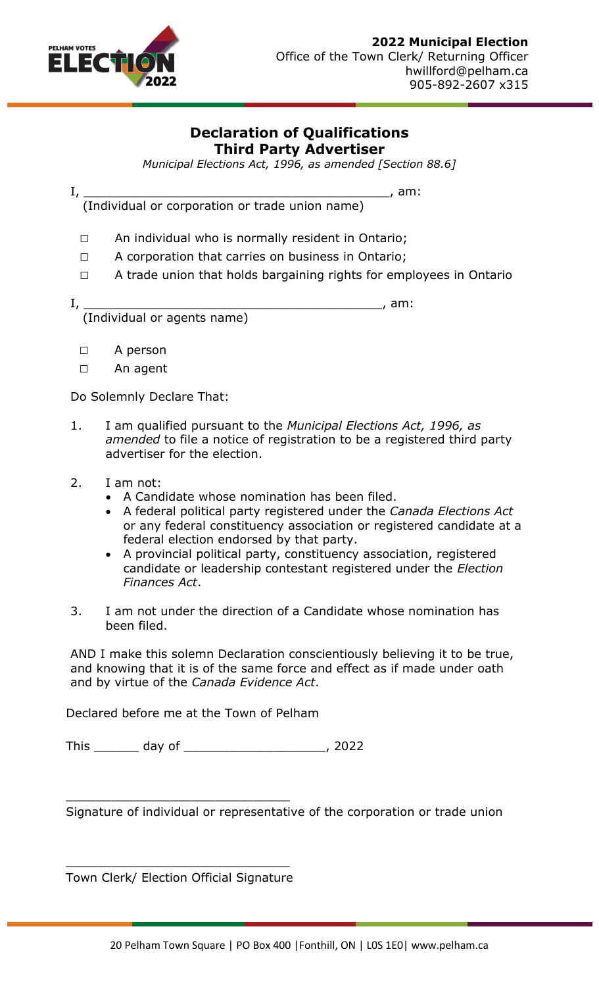

## **Declaration of Qualifications Third Party Advertiser**

*Municipal Elections Act, 1996, as amended [Section 88.6]*

I, \_\_\_\_\_\_\_\_\_\_\_\_\_\_\_\_\_\_\_\_\_\_\_\_\_\_\_\_\_\_\_\_\_\_\_\_\_\_\_\_\_, am:

(Individual or corporation or trade union name)

- □ An individual who is normally resident in Ontario;
- □ A corporation that carries on business in Ontario;
- □ A trade union that holds bargaining rights for employees in Ontario

I, \_\_\_\_\_\_\_\_\_\_\_\_\_\_\_\_\_\_\_\_\_\_\_\_\_\_\_\_\_\_\_\_\_\_\_\_\_\_\_\_, am: (Individual or agents name)

- □ A person
- □ An agent

Do Solemnly Declare That:

- 1. I am qualified pursuant to the *Municipal Elections Act, 1996, as amended* to file a notice of registration to be a registered third party advertiser for the election.
- 2. I am not:
	- A Candidate whose nomination has been filed.
	- A federal political party registered under the *Canada Elections Act* or any federal constituency association or registered candidate at a federal election endorsed by that party.
	- A provincial political party, constituency association, registered candidate or leadership contestant registered under the *Election Finances Act*.
- 3. I am not under the direction of a Candidate whose nomination has been filed.

AND I make this solemn Declaration conscientiously believing it to be true, and knowing that it is of the same force and effect as if made under oath and by virtue of the *Canada Evidence Act*.

Declared before me at the Town of Pelham

This \_\_\_\_\_\_\_\_ day of \_\_\_\_\_\_\_\_\_\_\_\_\_\_\_\_\_\_\_\_\_\_\_\_\_\_\_, 2022

Signature of individual or representative of the corporation or trade union

\_\_\_\_\_\_\_\_\_\_\_\_\_\_\_\_\_\_\_\_\_\_\_\_\_\_\_\_\_\_ Town Clerk/ Election Official Signature

\_\_\_\_\_\_\_\_\_\_\_\_\_\_\_\_\_\_\_\_\_\_\_\_\_\_\_\_\_\_